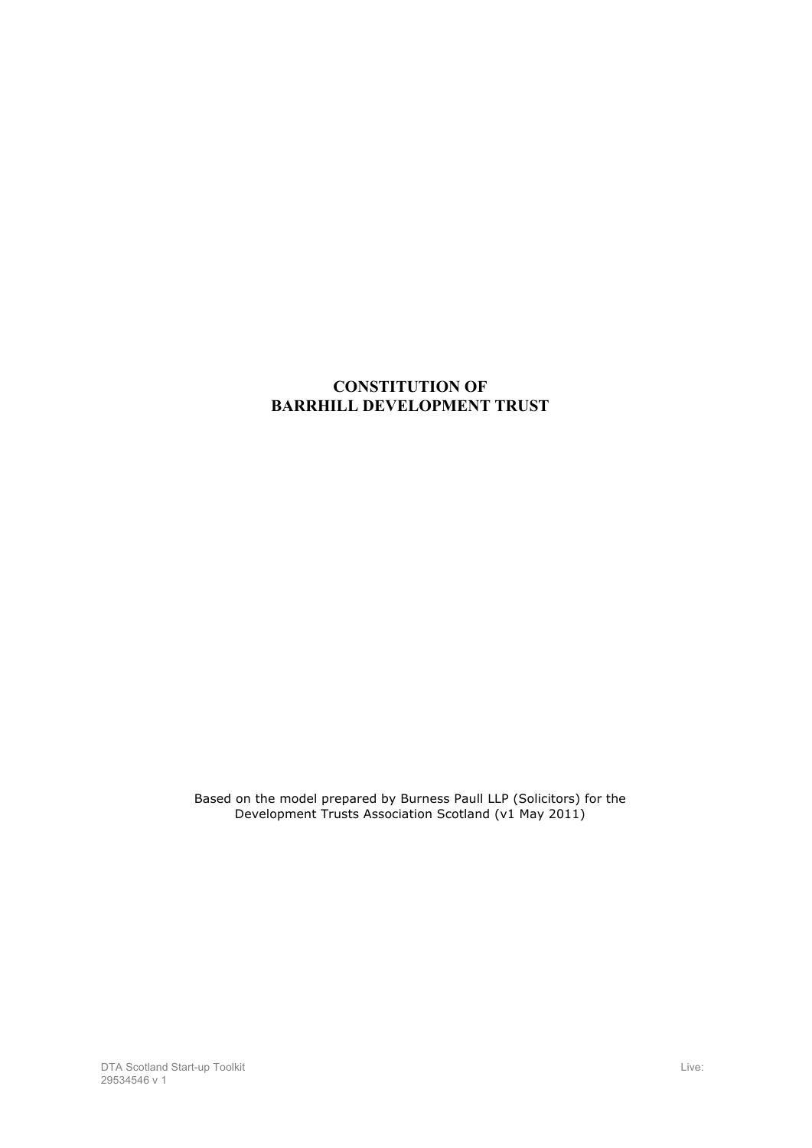# **CONSTITUTION OF BARRHILL DEVELOPMENT TRUST**

Based on the model prepared by Burness Paull LLP (Solicitors) for the Development Trusts Association Scotland (v1 May 2011)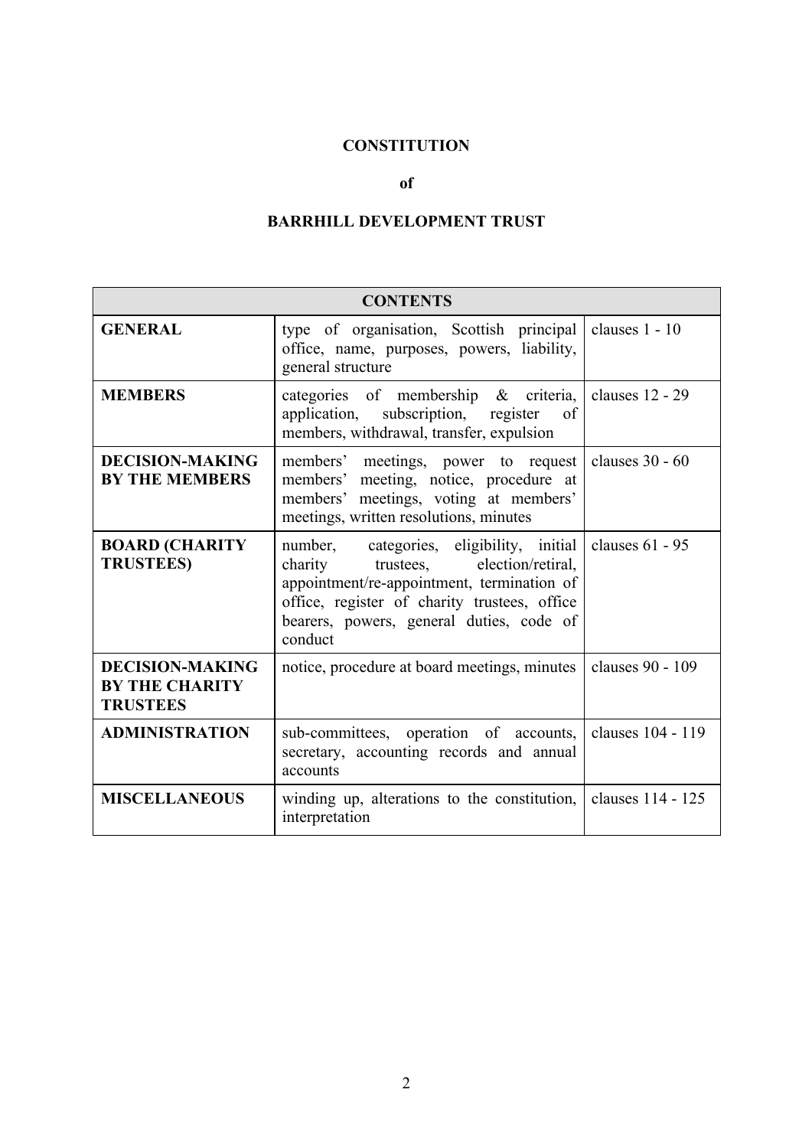# **CONSTITUTION**

### **of**

# **BARRHILL DEVELOPMENT TRUST**

| <b>CONTENTS</b>                                                    |                                                                                                                                                                                                                                      |                   |
|--------------------------------------------------------------------|--------------------------------------------------------------------------------------------------------------------------------------------------------------------------------------------------------------------------------------|-------------------|
| <b>GENERAL</b>                                                     | type of organisation, Scottish principal<br>office, name, purposes, powers, liability,<br>general structure                                                                                                                          | clauses 1 - 10    |
| <b>MEMBERS</b>                                                     | categories of membership & criteria,<br>application, subscription, register<br>of<br>members, withdrawal, transfer, expulsion                                                                                                        | clauses 12 - 29   |
| <b>DECISION-MAKING</b><br><b>BY THE MEMBERS</b>                    | members' meetings, power to request<br>members' meeting, notice, procedure at<br>members' meetings, voting at members'<br>meetings, written resolutions, minutes                                                                     | clauses 30 - 60   |
| <b>BOARD (CHARITY</b><br><b>TRUSTEES)</b>                          | number, categories, eligibility, initial<br>charity trustees, election/retiral,<br>appointment/re-appointment, termination of<br>office, register of charity trustees, office<br>bearers, powers, general duties, code of<br>conduct | clauses 61 - 95   |
| <b>DECISION-MAKING</b><br><b>BY THE CHARITY</b><br><b>TRUSTEES</b> | notice, procedure at board meetings, minutes                                                                                                                                                                                         | clauses 90 - 109  |
| <b>ADMINISTRATION</b>                                              | sub-committees, operation of accounts,<br>secretary, accounting records and annual<br>accounts                                                                                                                                       | clauses 104 - 119 |
| <b>MISCELLANEOUS</b>                                               | winding up, alterations to the constitution,<br>interpretation                                                                                                                                                                       | clauses 114 - 125 |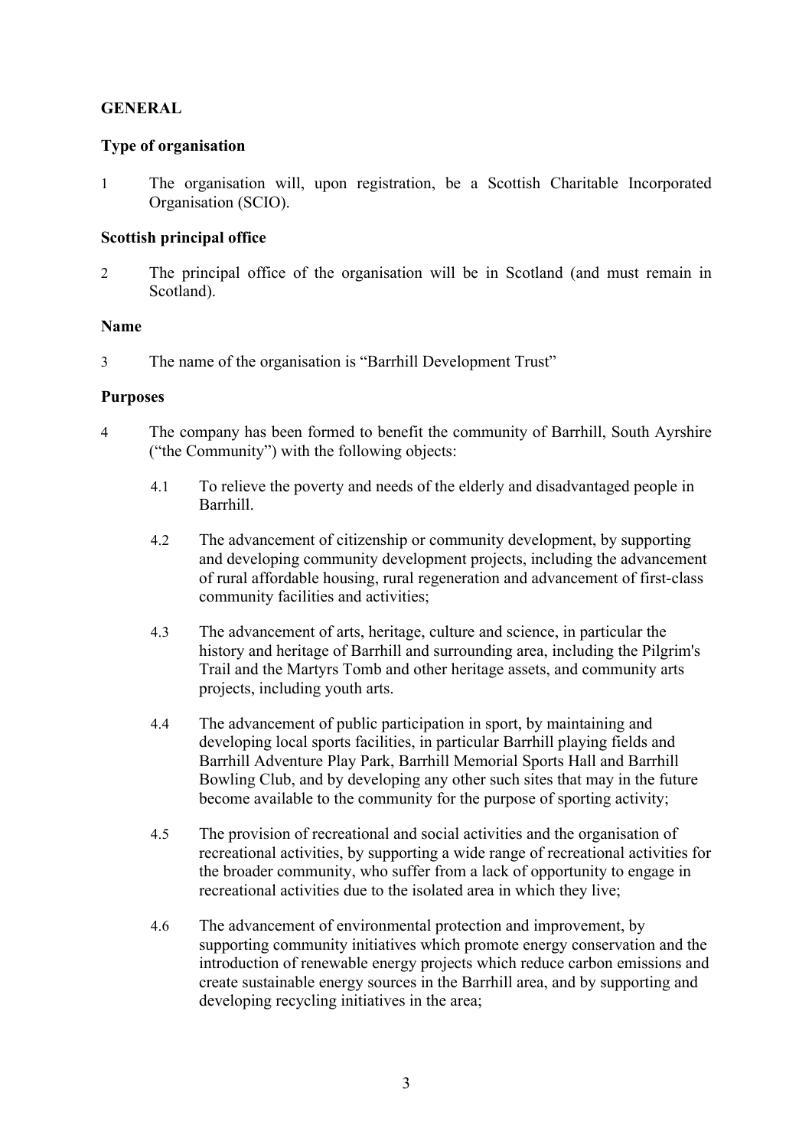# **GENERAL**

### **Type of organisation**

1 The organisation will, upon registration, be a Scottish Charitable Incorporated Organisation (SCIO).

# **Scottish principal office**

2 The principal office of the organisation will be in Scotland (and must remain in Scotland).

### **Name**

3 The name of the organisation is "Barrhill Development Trust"

## **Purposes**

- 4 The company has been formed to benefit the community of Barrhill, South Ayrshire ("the Community") with the following objects:
	- 4.1 To relieve the poverty and needs of the elderly and disadvantaged people in Barrhill.
	- 4.2 The advancement of citizenship or community development, by supporting and developing community development projects, including the advancement of rural affordable housing, rural regeneration and advancement of first-class community facilities and activities;
	- 4.3 The advancement of arts, heritage, culture and science, in particular the history and heritage of Barrhill and surrounding area, including the Pilgrim's Trail and the Martyrs Tomb and other heritage assets, and community arts projects, including youth arts.
	- 4.4 The advancement of public participation in sport, by maintaining and developing local sports facilities, in particular Barrhill playing fields and Barrhill Adventure Play Park, Barrhill Memorial Sports Hall and Barrhill Bowling Club, and by developing any other such sites that may in the future become available to the community for the purpose of sporting activity;
	- 4.5 The provision of recreational and social activities and the organisation of recreational activities, by supporting a wide range of recreational activities for the broader community, who suffer from a lack of opportunity to engage in recreational activities due to the isolated area in which they live;
	- 4.6 The advancement of environmental protection and improvement, by supporting community initiatives which promote energy conservation and the introduction of renewable energy projects which reduce carbon emissions and create sustainable energy sources in the Barrhill area, and by supporting and developing recycling initiatives in the area;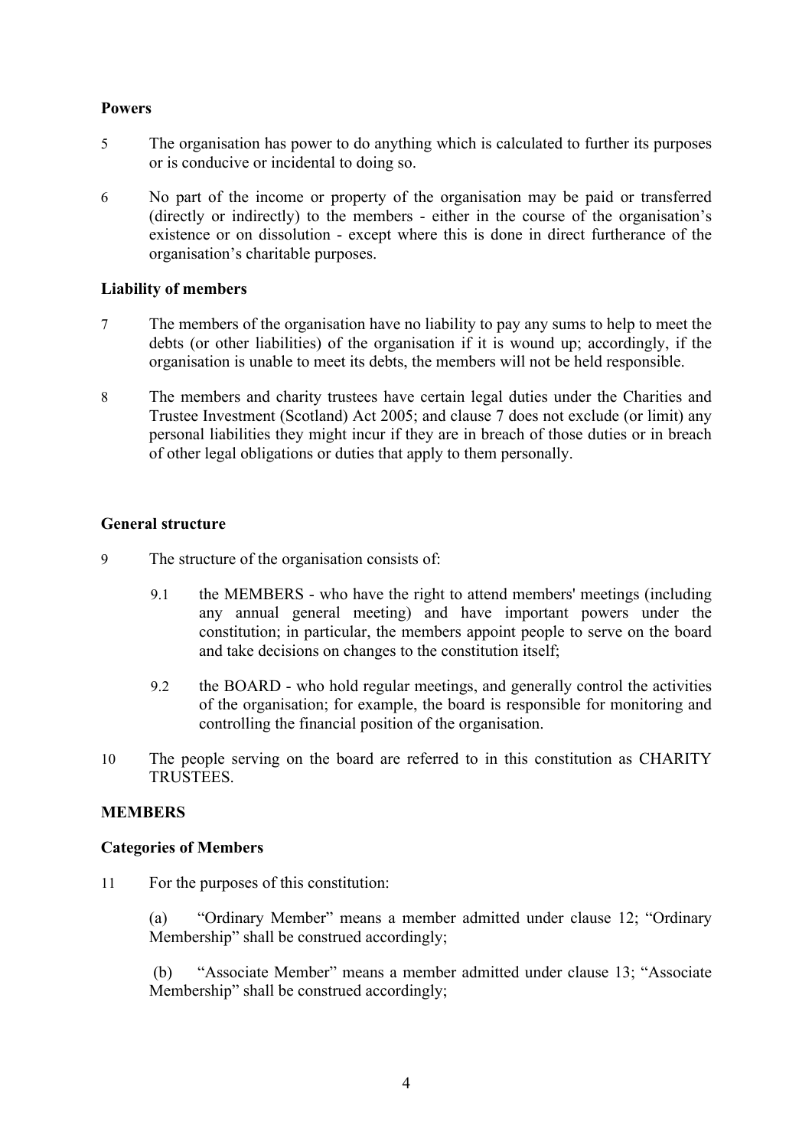# **Powers**

- 5 The organisation has power to do anything which is calculated to further its purposes or is conducive or incidental to doing so.
- 6 No part of the income or property of the organisation may be paid or transferred (directly or indirectly) to the members - either in the course of the organisation's existence or on dissolution - except where this is done in direct furtherance of the organisation's charitable purposes.

### **Liability of members**

- 7 The members of the organisation have no liability to pay any sums to help to meet the debts (or other liabilities) of the organisation if it is wound up; accordingly, if the organisation is unable to meet its debts, the members will not be held responsible.
- 8 The members and charity trustees have certain legal duties under the Charities and Trustee Investment (Scotland) Act 2005; and clause 7 does not exclude (or limit) any personal liabilities they might incur if they are in breach of those duties or in breach of other legal obligations or duties that apply to them personally.

### **General structure**

- 9 The structure of the organisation consists of:
	- 9.1 the MEMBERS who have the right to attend members' meetings (including any annual general meeting) and have important powers under the constitution; in particular, the members appoint people to serve on the board and take decisions on changes to the constitution itself;
	- 9.2 the BOARD who hold regular meetings, and generally control the activities of the organisation; for example, the board is responsible for monitoring and controlling the financial position of the organisation.
- 10 The people serving on the board are referred to in this constitution as CHARITY **TRUSTEES**

#### **MEMBERS**

#### **Categories of Members**

11 For the purposes of this constitution:

(a) "Ordinary Member" means a member admitted under clause 12; "Ordinary Membership" shall be construed accordingly;

(b) "Associate Member" means a member admitted under clause 13; "Associate Membership" shall be construed accordingly;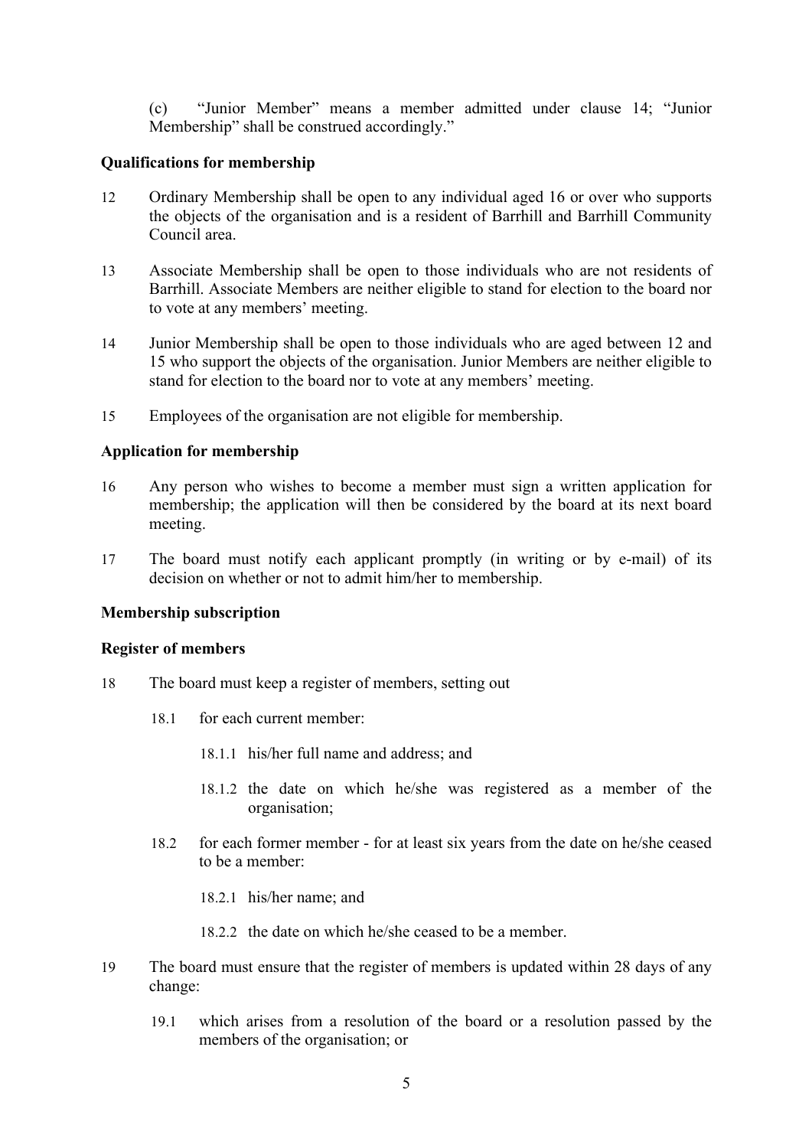(c) "Junior Member" means a member admitted under clause 14; "Junior Membership" shall be construed accordingly."

#### **Qualifications for membership**

- 12 Ordinary Membership shall be open to any individual aged 16 or over who supports the objects of the organisation and is a resident of Barrhill and Barrhill Community Council area.
- 13 Associate Membership shall be open to those individuals who are not residents of Barrhill. Associate Members are neither eligible to stand for election to the board nor to vote at any members' meeting.
- 14 Junior Membership shall be open to those individuals who are aged between 12 and 15 who support the objects of the organisation. Junior Members are neither eligible to stand for election to the board nor to vote at any members' meeting.
- 15 Employees of the organisation are not eligible for membership.

#### **Application for membership**

- 16 Any person who wishes to become a member must sign a written application for membership; the application will then be considered by the board at its next board meeting.
- 17 The board must notify each applicant promptly (in writing or by e-mail) of its decision on whether or not to admit him/her to membership.

### **Membership subscription**

#### **Register of members**

- 18 The board must keep a register of members, setting out
	- 18.1 for each current member:
		- 18.1.1 his/her full name and address; and
		- 18.1.2 the date on which he/she was registered as a member of the organisation;
	- 18.2 for each former member for at least six years from the date on he/she ceased to be a member:
		- 18.2.1 his/her name; and
		- 18.2.2 the date on which he/she ceased to be a member.
- 19 The board must ensure that the register of members is updated within 28 days of any change:
	- 19.1 which arises from a resolution of the board or a resolution passed by the members of the organisation; or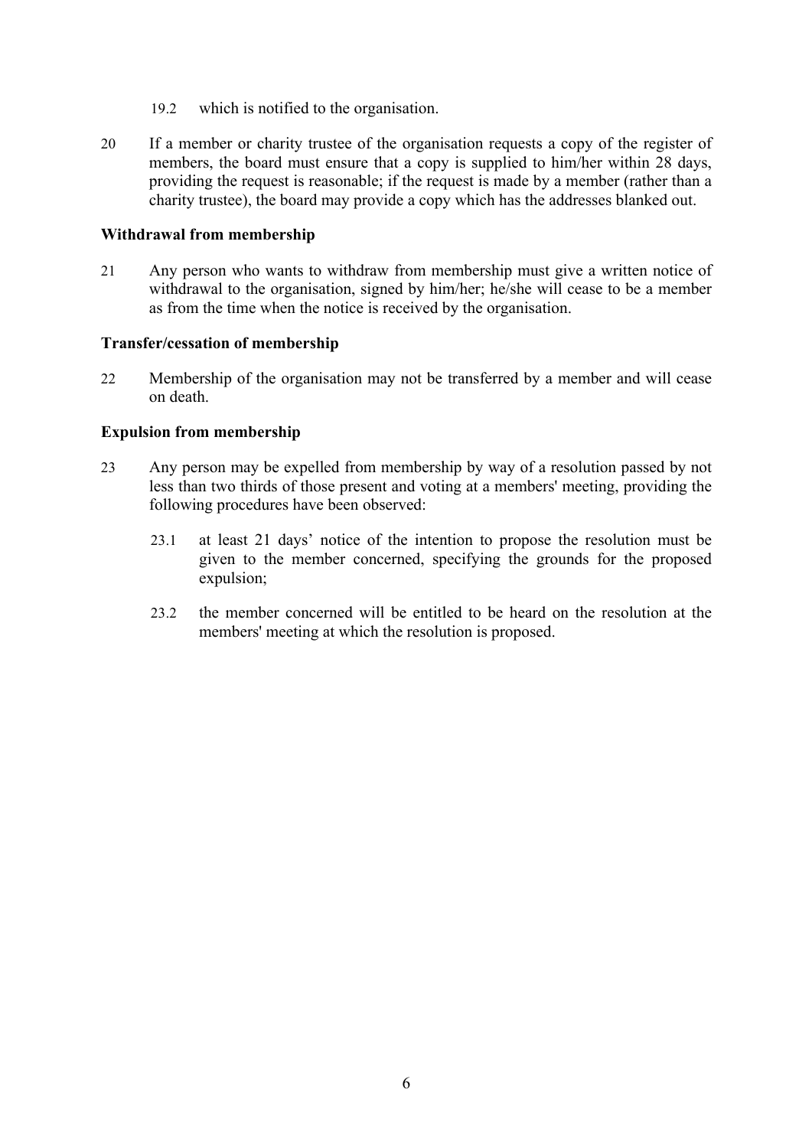- 19.2 which is notified to the organisation.
- 20 If a member or charity trustee of the organisation requests a copy of the register of members, the board must ensure that a copy is supplied to him/her within 28 days, providing the request is reasonable; if the request is made by a member (rather than a charity trustee), the board may provide a copy which has the addresses blanked out.

#### **Withdrawal from membership**

21 Any person who wants to withdraw from membership must give a written notice of withdrawal to the organisation, signed by him/her; he/she will cease to be a member as from the time when the notice is received by the organisation.

## **Transfer/cessation of membership**

22 Membership of the organisation may not be transferred by a member and will cease on death.

### **Expulsion from membership**

- 23 Any person may be expelled from membership by way of a resolution passed by not less than two thirds of those present and voting at a members' meeting, providing the following procedures have been observed:
	- 23.1 at least 21 days' notice of the intention to propose the resolution must be given to the member concerned, specifying the grounds for the proposed expulsion;
	- 23.2 the member concerned will be entitled to be heard on the resolution at the members' meeting at which the resolution is proposed.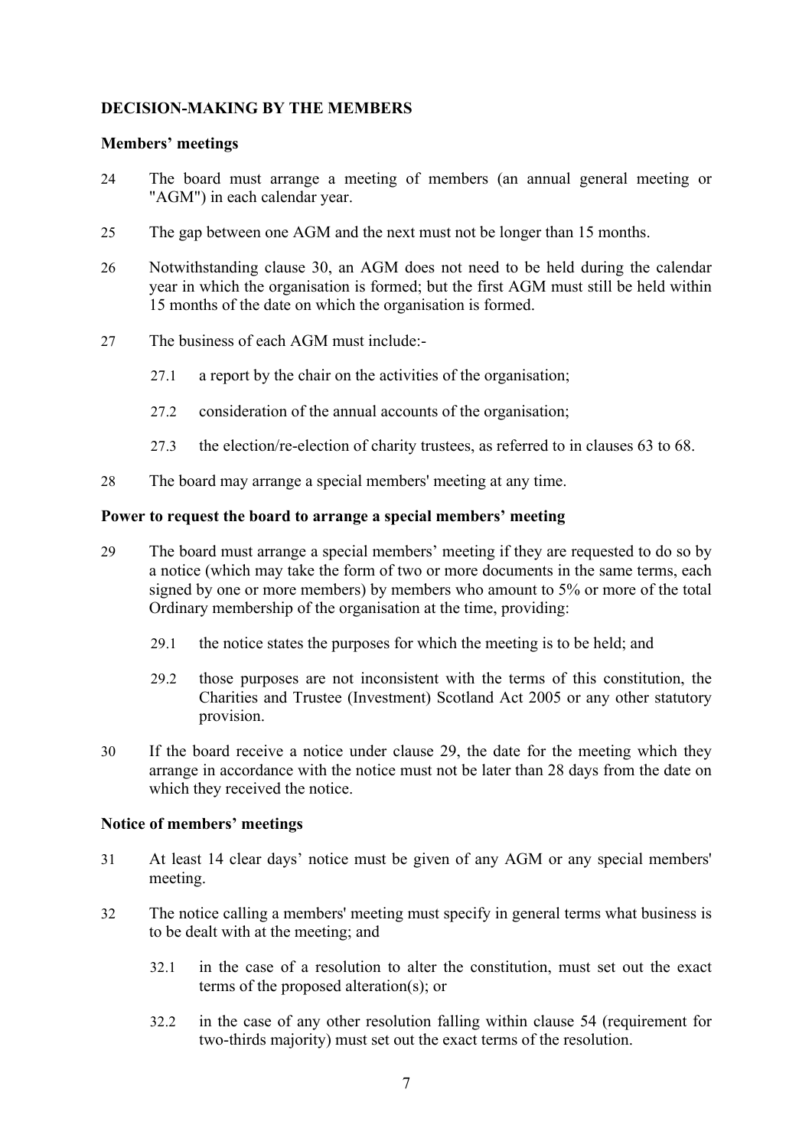# **DECISION-MAKING BY THE MEMBERS**

## **Members' meetings**

- 24 The board must arrange a meeting of members (an annual general meeting or "AGM") in each calendar year.
- 25 The gap between one AGM and the next must not be longer than 15 months.
- 26 Notwithstanding clause 30, an AGM does not need to be held during the calendar year in which the organisation is formed; but the first AGM must still be held within 15 months of the date on which the organisation is formed.
- 27 The business of each AGM must include:-
	- 27.1 a report by the chair on the activities of the organisation;
	- 27.2 consideration of the annual accounts of the organisation;
	- 27.3 the election/re-election of charity trustees, as referred to in clauses 63 to 68.
- 28 The board may arrange a special members' meeting at any time.

## **Power to request the board to arrange a special members' meeting**

- 29 The board must arrange a special members' meeting if they are requested to do so by a notice (which may take the form of two or more documents in the same terms, each signed by one or more members) by members who amount to 5% or more of the total Ordinary membership of the organisation at the time, providing:
	- 29.1 the notice states the purposes for which the meeting is to be held; and
	- 29.2 those purposes are not inconsistent with the terms of this constitution, the Charities and Trustee (Investment) Scotland Act 2005 or any other statutory provision.
- 30 If the board receive a notice under clause 29, the date for the meeting which they arrange in accordance with the notice must not be later than 28 days from the date on which they received the notice.

# **Notice of members' meetings**

- 31 At least 14 clear days' notice must be given of any AGM or any special members' meeting.
- 32 The notice calling a members' meeting must specify in general terms what business is to be dealt with at the meeting; and
	- 32.1 in the case of a resolution to alter the constitution, must set out the exact terms of the proposed alteration(s); or
	- 32.2 in the case of any other resolution falling within clause 54 (requirement for two-thirds majority) must set out the exact terms of the resolution.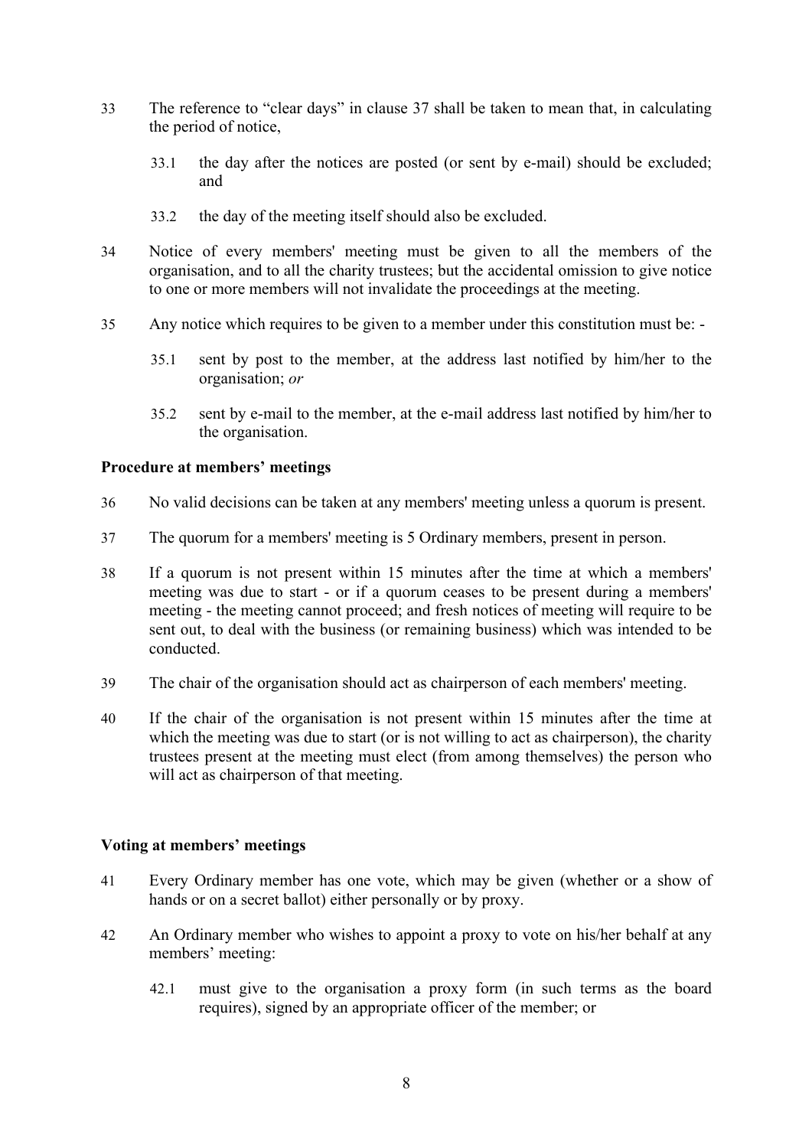- 33 The reference to "clear days" in clause 37 shall be taken to mean that, in calculating the period of notice,
	- 33.1 the day after the notices are posted (or sent by e-mail) should be excluded; and
	- 33.2 the day of the meeting itself should also be excluded.
- 34 Notice of every members' meeting must be given to all the members of the organisation, and to all the charity trustees; but the accidental omission to give notice to one or more members will not invalidate the proceedings at the meeting.
- 35 Any notice which requires to be given to a member under this constitution must be:
	- 35.1 sent by post to the member, at the address last notified by him/her to the organisation; *or*
	- 35.2 sent by e-mail to the member, at the e-mail address last notified by him/her to the organisation.

## **Procedure at members' meetings**

- 36 No valid decisions can be taken at any members' meeting unless a quorum is present.
- 37 The quorum for a members' meeting is 5 Ordinary members, present in person.
- 38 If a quorum is not present within 15 minutes after the time at which a members' meeting was due to start - or if a quorum ceases to be present during a members' meeting - the meeting cannot proceed; and fresh notices of meeting will require to be sent out, to deal with the business (or remaining business) which was intended to be conducted.
- 39 The chair of the organisation should act as chairperson of each members' meeting.
- 40 If the chair of the organisation is not present within 15 minutes after the time at which the meeting was due to start (or is not willing to act as chairperson), the charity trustees present at the meeting must elect (from among themselves) the person who will act as chairperson of that meeting.

### **Voting at members' meetings**

- 41 Every Ordinary member has one vote, which may be given (whether or a show of hands or on a secret ballot) either personally or by proxy.
- 42 An Ordinary member who wishes to appoint a proxy to vote on his/her behalf at any members' meeting:
	- 42.1 must give to the organisation a proxy form (in such terms as the board requires), signed by an appropriate officer of the member; or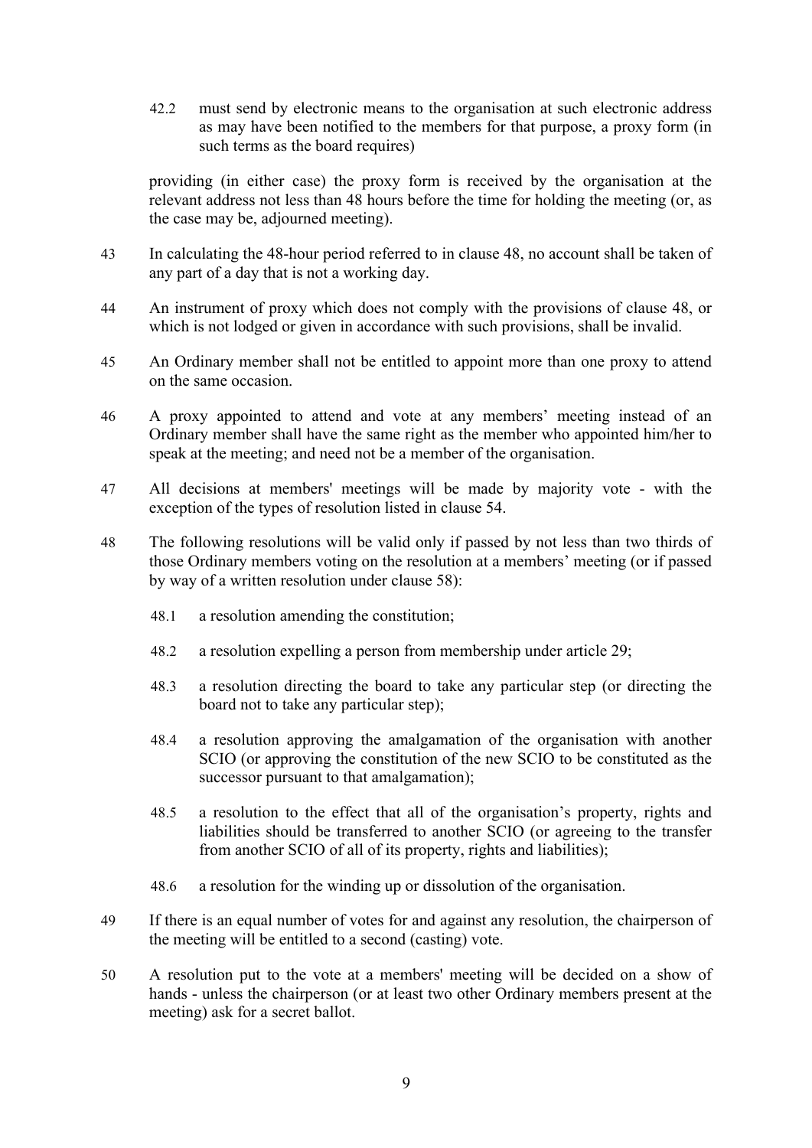42.2 must send by electronic means to the organisation at such electronic address as may have been notified to the members for that purpose, a proxy form (in such terms as the board requires)

providing (in either case) the proxy form is received by the organisation at the relevant address not less than 48 hours before the time for holding the meeting (or, as the case may be, adjourned meeting).

- 43 In calculating the 48-hour period referred to in clause 48, no account shall be taken of any part of a day that is not a working day.
- 44 An instrument of proxy which does not comply with the provisions of clause 48, or which is not lodged or given in accordance with such provisions, shall be invalid.
- 45 An Ordinary member shall not be entitled to appoint more than one proxy to attend on the same occasion.
- 46 A proxy appointed to attend and vote at any members' meeting instead of an Ordinary member shall have the same right as the member who appointed him/her to speak at the meeting; and need not be a member of the organisation.
- 47 All decisions at members' meetings will be made by majority vote with the exception of the types of resolution listed in clause 54.
- 48 The following resolutions will be valid only if passed by not less than two thirds of those Ordinary members voting on the resolution at a members' meeting (or if passed by way of a written resolution under clause 58):
	- 48.1 a resolution amending the constitution;
	- 48.2 a resolution expelling a person from membership under article 29;
	- 48.3 a resolution directing the board to take any particular step (or directing the board not to take any particular step);
	- 48.4 a resolution approving the amalgamation of the organisation with another SCIO (or approving the constitution of the new SCIO to be constituted as the successor pursuant to that amalgamation);
	- 48.5 a resolution to the effect that all of the organisation's property, rights and liabilities should be transferred to another SCIO (or agreeing to the transfer from another SCIO of all of its property, rights and liabilities);
	- 48.6 a resolution for the winding up or dissolution of the organisation.
- 49 If there is an equal number of votes for and against any resolution, the chairperson of the meeting will be entitled to a second (casting) vote.
- 50 A resolution put to the vote at a members' meeting will be decided on a show of hands - unless the chairperson (or at least two other Ordinary members present at the meeting) ask for a secret ballot.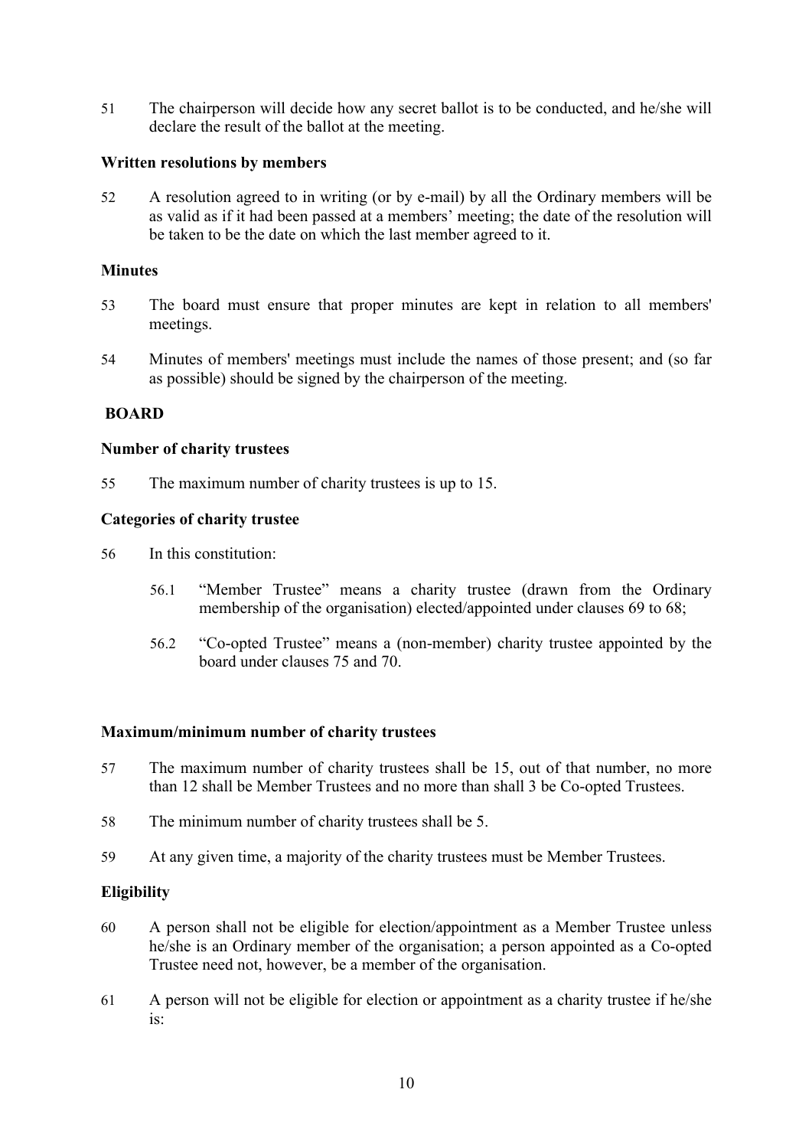51 The chairperson will decide how any secret ballot is to be conducted, and he/she will declare the result of the ballot at the meeting.

### **Written resolutions by members**

52 A resolution agreed to in writing (or by e-mail) by all the Ordinary members will be as valid as if it had been passed at a members' meeting; the date of the resolution will be taken to be the date on which the last member agreed to it.

#### **Minutes**

- 53 The board must ensure that proper minutes are kept in relation to all members' meetings.
- 54 Minutes of members' meetings must include the names of those present; and (so far as possible) should be signed by the chairperson of the meeting.

#### **BOARD**

#### **Number of charity trustees**

55 The maximum number of charity trustees is up to 15.

#### **Categories of charity trustee**

- 56 In this constitution:
	- 56.1 "Member Trustee" means a charity trustee (drawn from the Ordinary membership of the organisation) elected/appointed under clauses 69 to 68;
	- 56.2 "Co-opted Trustee" means a (non-member) charity trustee appointed by the board under clauses 75 and 70.

#### **Maximum/minimum number of charity trustees**

- 57 The maximum number of charity trustees shall be 15, out of that number, no more than 12 shall be Member Trustees and no more than shall 3 be Co-opted Trustees.
- 58 The minimum number of charity trustees shall be 5.
- 59 At any given time, a majority of the charity trustees must be Member Trustees.

#### **Eligibility**

- 60 A person shall not be eligible for election/appointment as a Member Trustee unless he/she is an Ordinary member of the organisation; a person appointed as a Co-opted Trustee need not, however, be a member of the organisation.
- 61 A person will not be eligible for election or appointment as a charity trustee if he/she is: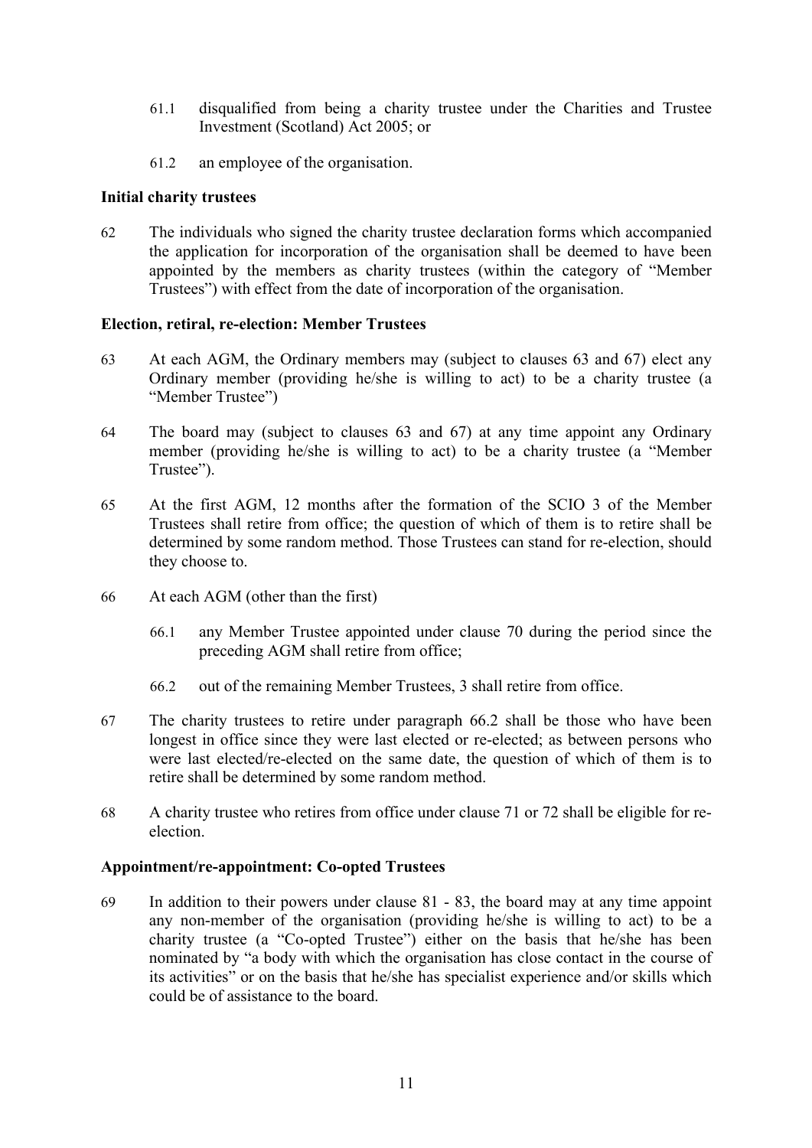- 61.1 disqualified from being a charity trustee under the Charities and Trustee Investment (Scotland) Act 2005; or
- 61.2 an employee of the organisation.

# **Initial charity trustees**

62 The individuals who signed the charity trustee declaration forms which accompanied the application for incorporation of the organisation shall be deemed to have been appointed by the members as charity trustees (within the category of "Member Trustees") with effect from the date of incorporation of the organisation.

## **Election, retiral, re-election: Member Trustees**

- 63 At each AGM, the Ordinary members may (subject to clauses 63 and 67) elect any Ordinary member (providing he/she is willing to act) to be a charity trustee (a "Member Trustee")
- 64 The board may (subject to clauses 63 and 67) at any time appoint any Ordinary member (providing he/she is willing to act) to be a charity trustee (a "Member Trustee").
- 65 At the first AGM, 12 months after the formation of the SCIO 3 of the Member Trustees shall retire from office; the question of which of them is to retire shall be determined by some random method. Those Trustees can stand for re-election, should they choose to.
- 66 At each AGM (other than the first)
	- 66.1 any Member Trustee appointed under clause 70 during the period since the preceding AGM shall retire from office;
	- 66.2 out of the remaining Member Trustees, 3 shall retire from office.
- 67 The charity trustees to retire under paragraph 66.2 shall be those who have been longest in office since they were last elected or re-elected; as between persons who were last elected/re-elected on the same date, the question of which of them is to retire shall be determined by some random method.
- 68 A charity trustee who retires from office under clause 71 or 72 shall be eligible for reelection.

### **Appointment/re-appointment: Co-opted Trustees**

69 In addition to their powers under clause 81 - 83, the board may at any time appoint any non-member of the organisation (providing he/she is willing to act) to be a charity trustee (a "Co-opted Trustee") either on the basis that he/she has been nominated by "a body with which the organisation has close contact in the course of its activities" or on the basis that he/she has specialist experience and/or skills which could be of assistance to the board.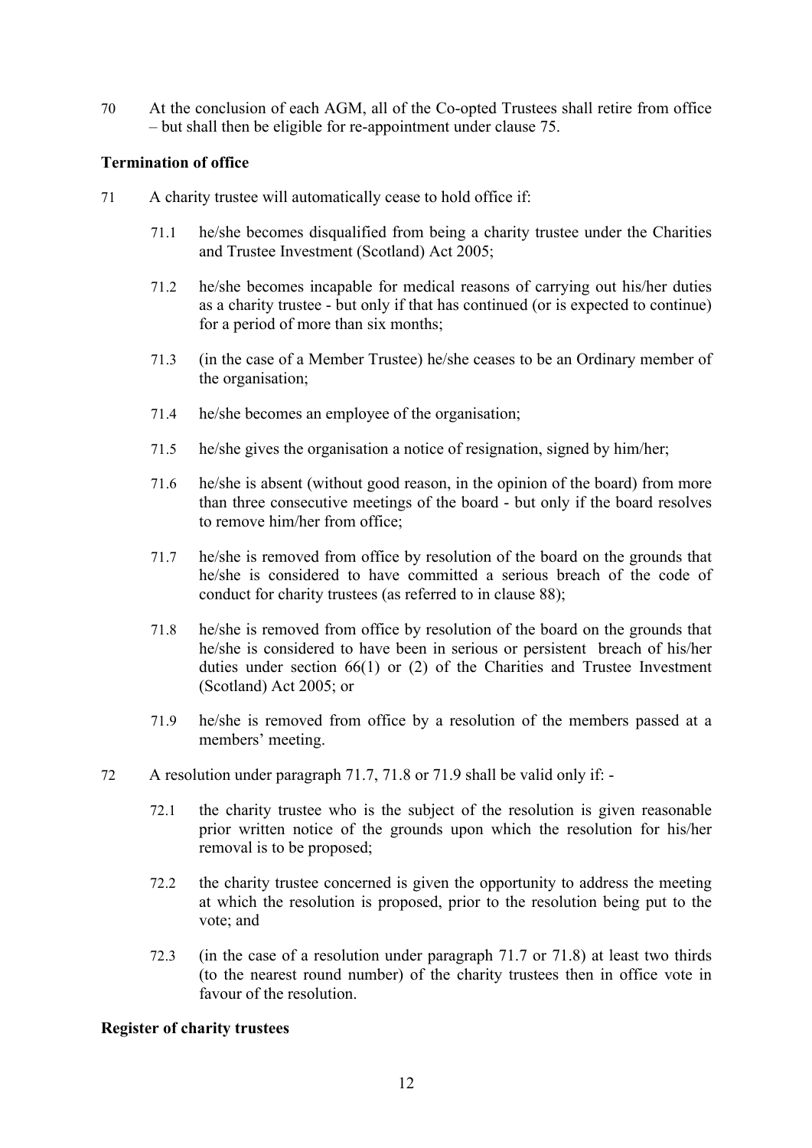70 At the conclusion of each AGM, all of the Co-opted Trustees shall retire from office – but shall then be eligible for re-appointment under clause 75.

### **Termination of office**

- 71 A charity trustee will automatically cease to hold office if:
	- 71.1 he/she becomes disqualified from being a charity trustee under the Charities and Trustee Investment (Scotland) Act 2005;
	- 71.2 he/she becomes incapable for medical reasons of carrying out his/her duties as a charity trustee - but only if that has continued (or is expected to continue) for a period of more than six months;
	- 71.3 (in the case of a Member Trustee) he/she ceases to be an Ordinary member of the organisation;
	- 71.4 he/she becomes an employee of the organisation;
	- 71.5 he/she gives the organisation a notice of resignation, signed by him/her;
	- 71.6 he/she is absent (without good reason, in the opinion of the board) from more than three consecutive meetings of the board - but only if the board resolves to remove him/her from office;
	- 71.7 he/she is removed from office by resolution of the board on the grounds that he/she is considered to have committed a serious breach of the code of conduct for charity trustees (as referred to in clause 88);
	- 71.8 he/she is removed from office by resolution of the board on the grounds that he/she is considered to have been in serious or persistent breach of his/her duties under section 66(1) or (2) of the Charities and Trustee Investment (Scotland) Act 2005; or
	- 71.9 he/she is removed from office by a resolution of the members passed at a members' meeting.
- 72 A resolution under paragraph 71.7, 71.8 or 71.9 shall be valid only if:
	- 72.1 the charity trustee who is the subject of the resolution is given reasonable prior written notice of the grounds upon which the resolution for his/her removal is to be proposed;
	- 72.2 the charity trustee concerned is given the opportunity to address the meeting at which the resolution is proposed, prior to the resolution being put to the vote; and
	- 72.3 (in the case of a resolution under paragraph 71.7 or 71.8) at least two thirds (to the nearest round number) of the charity trustees then in office vote in favour of the resolution.

#### **Register of charity trustees**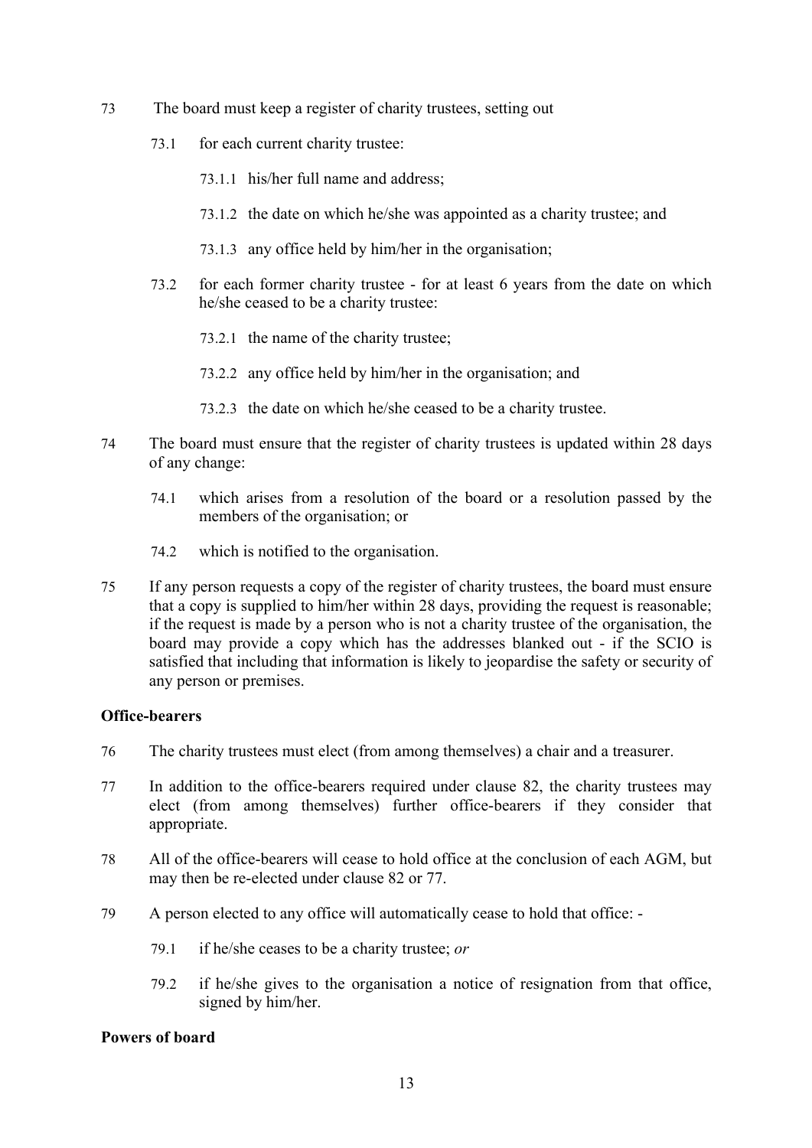- 73 The board must keep a register of charity trustees, setting out
	- 73.1 for each current charity trustee:
		- 73.1.1 his/her full name and address;
		- 73.1.2 the date on which he/she was appointed as a charity trustee; and
		- 73.1.3 any office held by him/her in the organisation;
	- 73.2 for each former charity trustee for at least 6 years from the date on which he/she ceased to be a charity trustee:
		- 73.2.1 the name of the charity trustee;
		- 73.2.2 any office held by him/her in the organisation; and
		- 73.2.3 the date on which he/she ceased to be a charity trustee.
- 74 The board must ensure that the register of charity trustees is updated within 28 days of any change:
	- 74.1 which arises from a resolution of the board or a resolution passed by the members of the organisation; or
	- 74.2 which is notified to the organisation.
- 75 If any person requests a copy of the register of charity trustees, the board must ensure that a copy is supplied to him/her within 28 days, providing the request is reasonable; if the request is made by a person who is not a charity trustee of the organisation, the board may provide a copy which has the addresses blanked out - if the SCIO is satisfied that including that information is likely to jeopardise the safety or security of any person or premises.

### **Office-bearers**

- 76 The charity trustees must elect (from among themselves) a chair and a treasurer.
- 77 In addition to the office-bearers required under clause 82, the charity trustees may elect (from among themselves) further office-bearers if they consider that appropriate.
- 78 All of the office-bearers will cease to hold office at the conclusion of each AGM, but may then be re-elected under clause 82 or 77.
- 79 A person elected to any office will automatically cease to hold that office:
	- 79.1 if he/she ceases to be a charity trustee; *or*
	- 79.2 if he/she gives to the organisation a notice of resignation from that office, signed by him/her.

#### **Powers of board**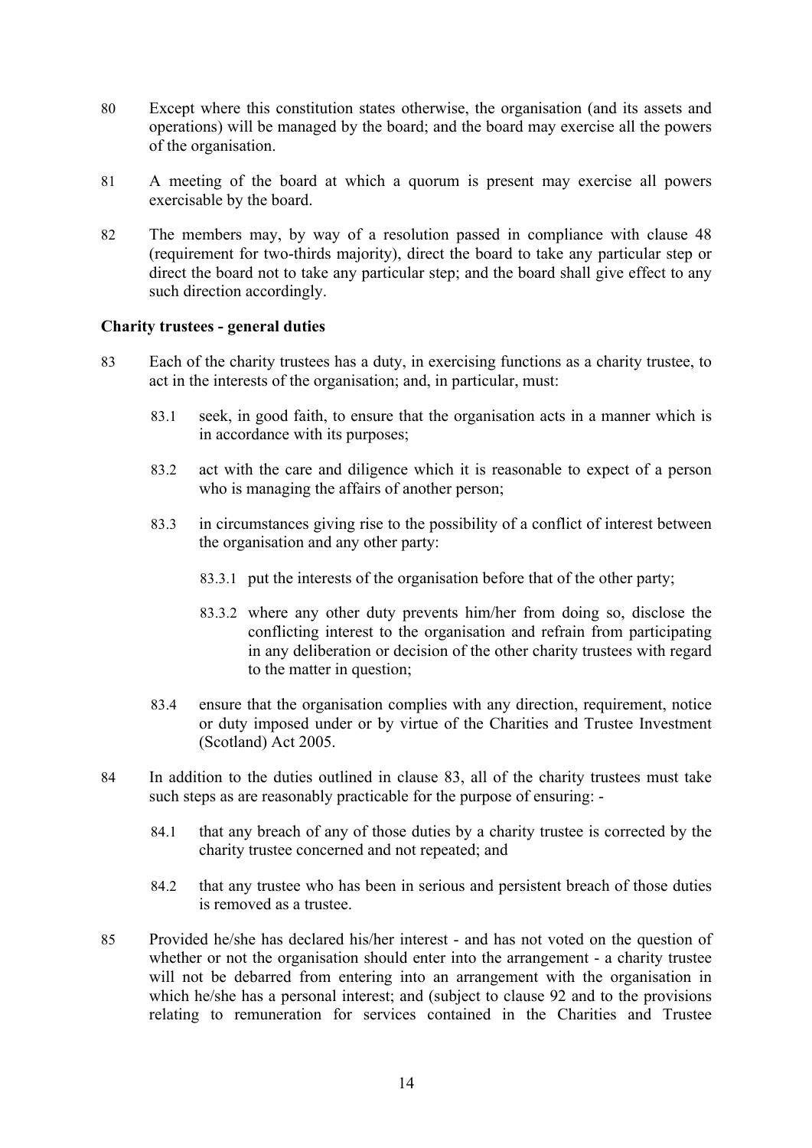- 80 Except where this constitution states otherwise, the organisation (and its assets and operations) will be managed by the board; and the board may exercise all the powers of the organisation.
- 81 A meeting of the board at which a quorum is present may exercise all powers exercisable by the board.
- 82 The members may, by way of a resolution passed in compliance with clause 48 (requirement for two-thirds majority), direct the board to take any particular step or direct the board not to take any particular step; and the board shall give effect to any such direction accordingly.

### **Charity trustees - general duties**

- 83 Each of the charity trustees has a duty, in exercising functions as a charity trustee, to act in the interests of the organisation; and, in particular, must:
	- 83.1 seek, in good faith, to ensure that the organisation acts in a manner which is in accordance with its purposes;
	- 83.2 act with the care and diligence which it is reasonable to expect of a person who is managing the affairs of another person;
	- 83.3 in circumstances giving rise to the possibility of a conflict of interest between the organisation and any other party:
		- 83.3.1 put the interests of the organisation before that of the other party;
		- 83.3.2 where any other duty prevents him/her from doing so, disclose the conflicting interest to the organisation and refrain from participating in any deliberation or decision of the other charity trustees with regard to the matter in question;
	- 83.4 ensure that the organisation complies with any direction, requirement, notice or duty imposed under or by virtue of the Charities and Trustee Investment (Scotland) Act 2005.
- 84 In addition to the duties outlined in clause 83, all of the charity trustees must take such steps as are reasonably practicable for the purpose of ensuring: -
	- 84.1 that any breach of any of those duties by a charity trustee is corrected by the charity trustee concerned and not repeated; and
	- 84.2 that any trustee who has been in serious and persistent breach of those duties is removed as a trustee.
- 85 Provided he/she has declared his/her interest and has not voted on the question of whether or not the organisation should enter into the arrangement - a charity trustee will not be debarred from entering into an arrangement with the organisation in which he/she has a personal interest; and (subject to clause 92 and to the provisions relating to remuneration for services contained in the Charities and Trustee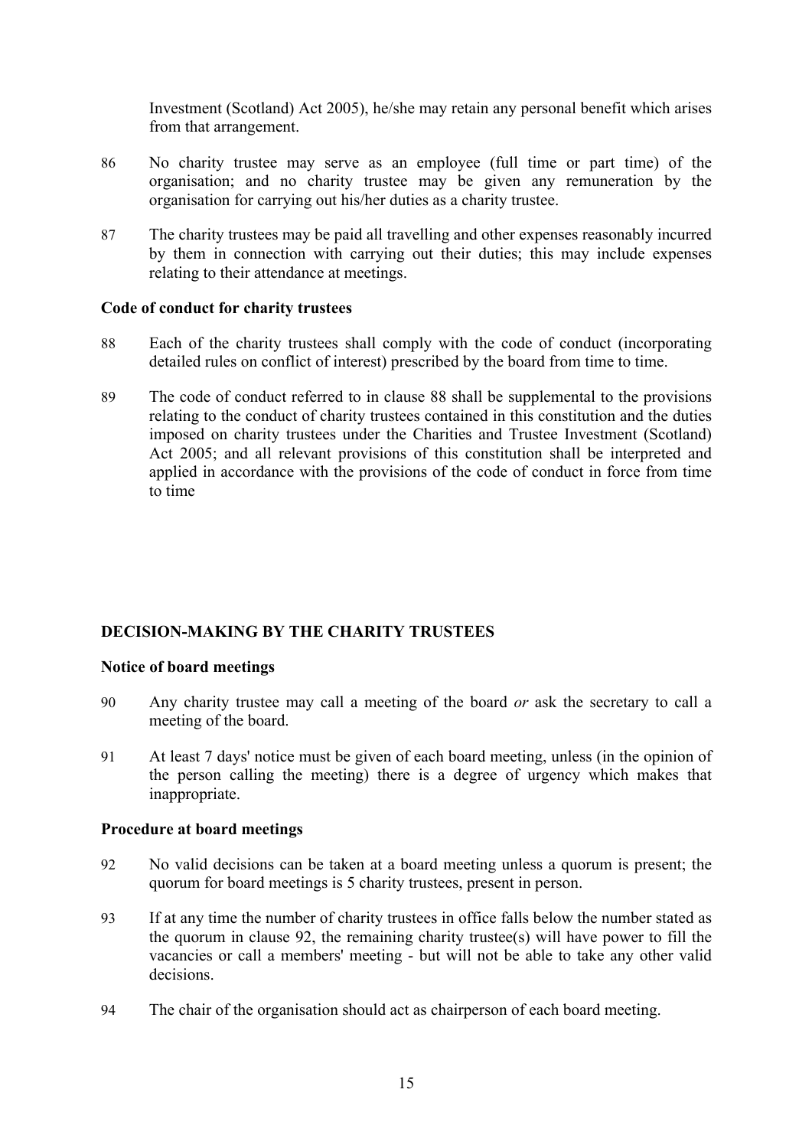Investment (Scotland) Act 2005), he/she may retain any personal benefit which arises from that arrangement.

- 86 No charity trustee may serve as an employee (full time or part time) of the organisation; and no charity trustee may be given any remuneration by the organisation for carrying out his/her duties as a charity trustee.
- 87 The charity trustees may be paid all travelling and other expenses reasonably incurred by them in connection with carrying out their duties; this may include expenses relating to their attendance at meetings.

### **Code of conduct for charity trustees**

- 88 Each of the charity trustees shall comply with the code of conduct (incorporating detailed rules on conflict of interest) prescribed by the board from time to time.
- 89 The code of conduct referred to in clause 88 shall be supplemental to the provisions relating to the conduct of charity trustees contained in this constitution and the duties imposed on charity trustees under the Charities and Trustee Investment (Scotland) Act 2005; and all relevant provisions of this constitution shall be interpreted and applied in accordance with the provisions of the code of conduct in force from time to time

# **DECISION-MAKING BY THE CHARITY TRUSTEES**

#### **Notice of board meetings**

- 90 Any charity trustee may call a meeting of the board *or* ask the secretary to call a meeting of the board.
- 91 At least 7 days' notice must be given of each board meeting, unless (in the opinion of the person calling the meeting) there is a degree of urgency which makes that inappropriate.

#### **Procedure at board meetings**

- 92 No valid decisions can be taken at a board meeting unless a quorum is present; the quorum for board meetings is 5 charity trustees, present in person.
- 93 If at any time the number of charity trustees in office falls below the number stated as the quorum in clause 92, the remaining charity trustee(s) will have power to fill the vacancies or call a members' meeting - but will not be able to take any other valid decisions.
- 94 The chair of the organisation should act as chairperson of each board meeting.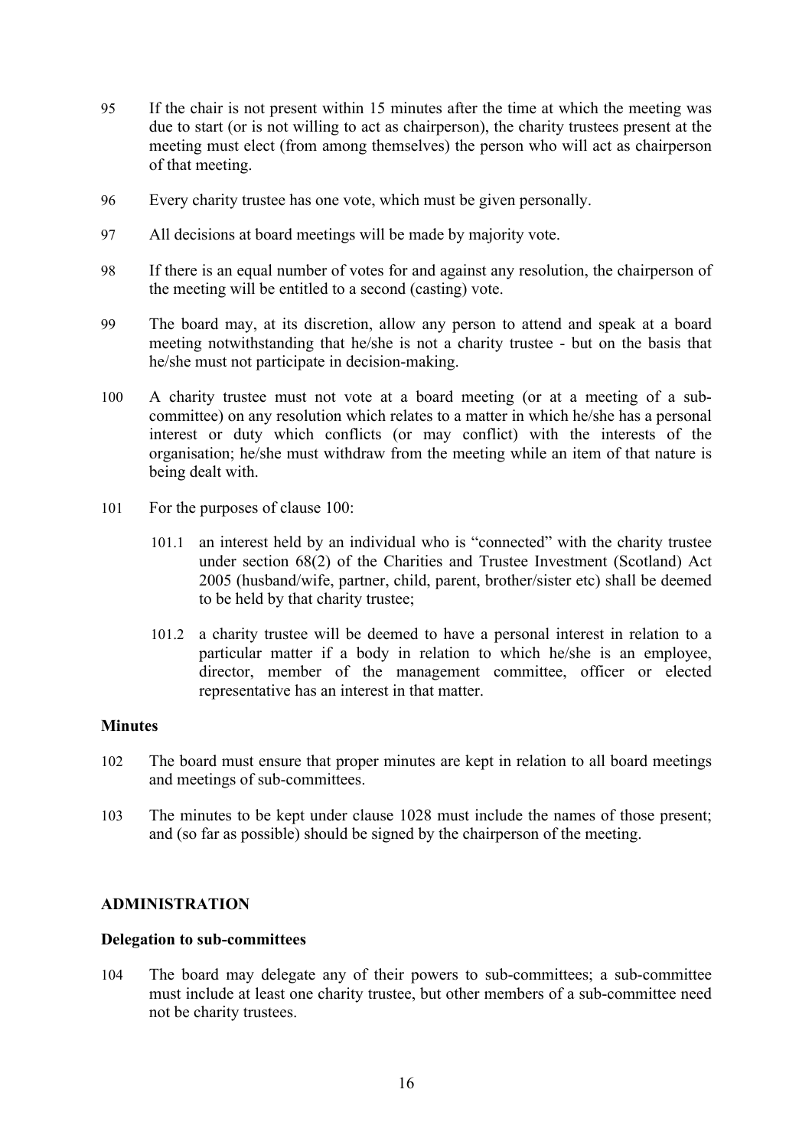- 95 If the chair is not present within 15 minutes after the time at which the meeting was due to start (or is not willing to act as chairperson), the charity trustees present at the meeting must elect (from among themselves) the person who will act as chairperson of that meeting.
- 96 Every charity trustee has one vote, which must be given personally.
- 97 All decisions at board meetings will be made by majority vote.
- 98 If there is an equal number of votes for and against any resolution, the chairperson of the meeting will be entitled to a second (casting) vote.
- 99 The board may, at its discretion, allow any person to attend and speak at a board meeting notwithstanding that he/she is not a charity trustee - but on the basis that he/she must not participate in decision-making.
- 100 A charity trustee must not vote at a board meeting (or at a meeting of a subcommittee) on any resolution which relates to a matter in which he/she has a personal interest or duty which conflicts (or may conflict) with the interests of the organisation; he/she must withdraw from the meeting while an item of that nature is being dealt with.
- 101 For the purposes of clause 100:
	- 101.1 an interest held by an individual who is "connected" with the charity trustee under section 68(2) of the Charities and Trustee Investment (Scotland) Act 2005 (husband/wife, partner, child, parent, brother/sister etc) shall be deemed to be held by that charity trustee;
	- 101.2 a charity trustee will be deemed to have a personal interest in relation to a particular matter if a body in relation to which he/she is an employee, director, member of the management committee, officer or elected representative has an interest in that matter.

### **Minutes**

- 102 The board must ensure that proper minutes are kept in relation to all board meetings and meetings of sub-committees.
- 103 The minutes to be kept under clause 1028 must include the names of those present; and (so far as possible) should be signed by the chairperson of the meeting.

# **ADMINISTRATION**

### **Delegation to sub-committees**

104 The board may delegate any of their powers to sub-committees; a sub-committee must include at least one charity trustee, but other members of a sub-committee need not be charity trustees.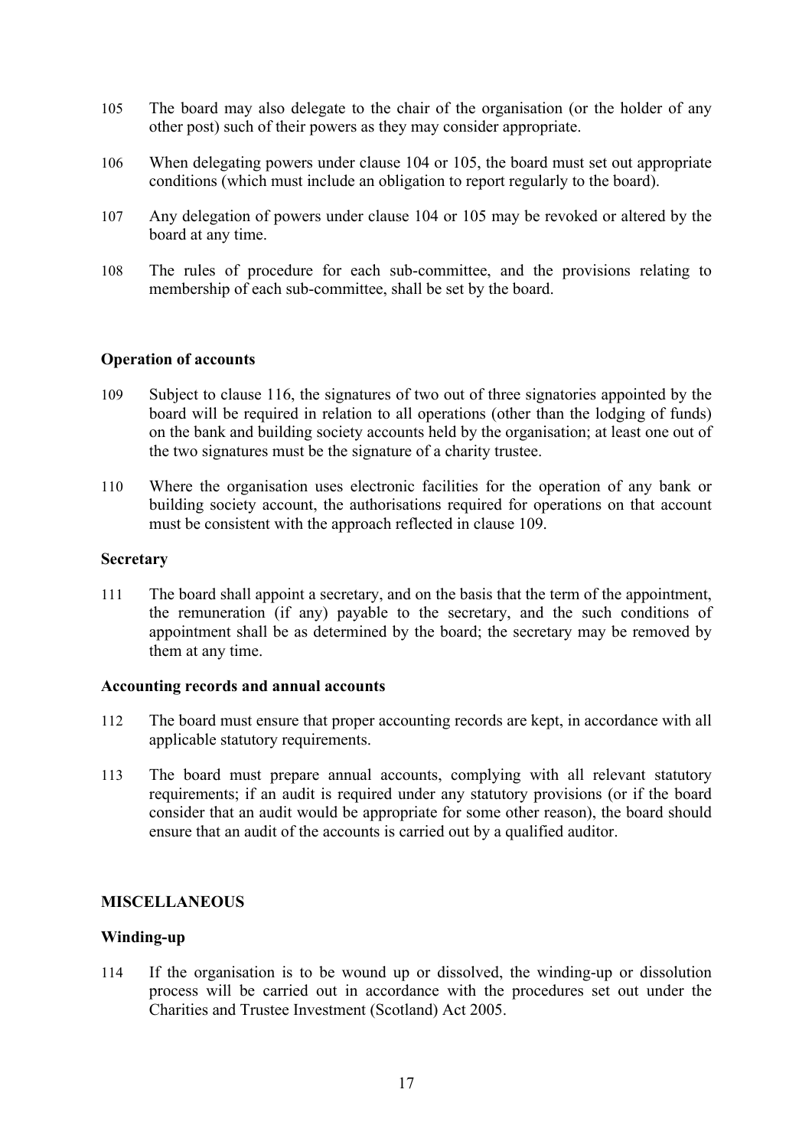- 105 The board may also delegate to the chair of the organisation (or the holder of any other post) such of their powers as they may consider appropriate.
- 106 When delegating powers under clause 104 or 105, the board must set out appropriate conditions (which must include an obligation to report regularly to the board).
- 107 Any delegation of powers under clause 104 or 105 may be revoked or altered by the board at any time.
- 108 The rules of procedure for each sub-committee, and the provisions relating to membership of each sub-committee, shall be set by the board.

### **Operation of accounts**

- 109 Subject to clause 116, the signatures of two out of three signatories appointed by the board will be required in relation to all operations (other than the lodging of funds) on the bank and building society accounts held by the organisation; at least one out of the two signatures must be the signature of a charity trustee.
- 110 Where the organisation uses electronic facilities for the operation of any bank or building society account, the authorisations required for operations on that account must be consistent with the approach reflected in clause 109.

# **Secretary**

111 The board shall appoint a secretary, and on the basis that the term of the appointment, the remuneration (if any) payable to the secretary, and the such conditions of appointment shall be as determined by the board; the secretary may be removed by them at any time.

#### **Accounting records and annual accounts**

- 112 The board must ensure that proper accounting records are kept, in accordance with all applicable statutory requirements.
- 113 The board must prepare annual accounts, complying with all relevant statutory requirements; if an audit is required under any statutory provisions (or if the board consider that an audit would be appropriate for some other reason), the board should ensure that an audit of the accounts is carried out by a qualified auditor.

### **MISCELLANEOUS**

# **Winding-up**

114 If the organisation is to be wound up or dissolved, the winding-up or dissolution process will be carried out in accordance with the procedures set out under the Charities and Trustee Investment (Scotland) Act 2005.